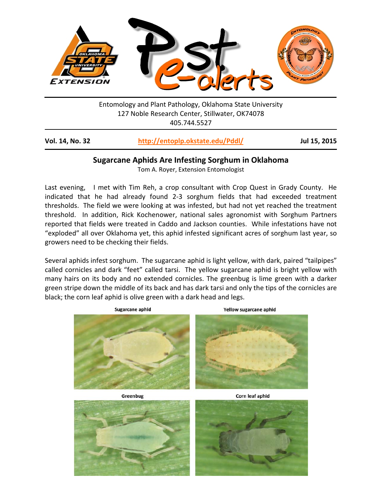

Entomology and Plant Pathology, Oklahoma State University 127 Noble Research Center, Stillwater, OK74078 405.744.5527

| Vol. 14, No. 32 | http://entoplp.okstate.edu/Pddl/ | Jul 15, 2015 |
|-----------------|----------------------------------|--------------|
|-----------------|----------------------------------|--------------|

## **Sugarcane Aphids Are Infesting Sorghum in Oklahoma**

Tom A. Royer, Extension Entomologist

Last evening, I met with Tim Reh, a crop consultant with Crop Quest in Grady County. He indicated that he had already found 2-3 sorghum fields that had exceeded treatment thresholds. The field we were looking at was infested, but had not yet reached the treatment threshold. In addition, Rick Kochenower, national sales agronomist with Sorghum Partners reported that fields were treated in Caddo and Jackson counties. While infestations have not "exploded" all over Oklahoma yet, this aphid infested significant acres of sorghum last year, so growers need to be checking their fields.

Several aphids infest sorghum. The sugarcane aphid is light yellow, with dark, paired "tailpipes" called cornicles and dark "feet" called tarsi. The yellow sugarcane aphid is bright yellow with many hairs on its body and no extended cornicles. The greenbug is lime green with a darker green stripe down the middle of its back and has dark tarsi and only the tips of the cornicles are black; the corn leaf aphid is olive green with a dark head and legs.



Greenbug

Corn leaf aphid